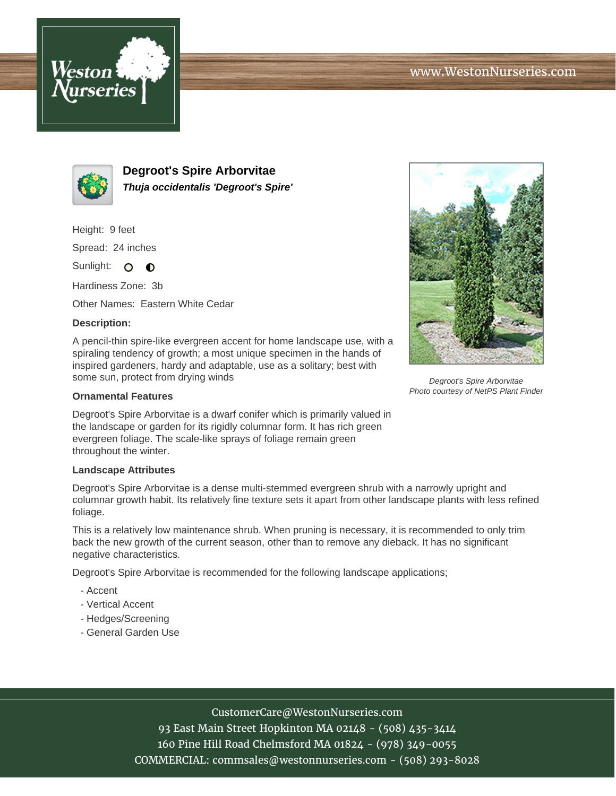



**Degroot's Spire Arborvitae Thuja occidentalis 'Degroot's Spire'**

Height: 9 feet Spread: 24 inches

Sunlight: O **O** 

Hardiness Zone: 3b

Other Names: Eastern White Cedar

## **Description:**

A pencil-thin spire-like evergreen accent for home landscape use, with a spiraling tendency of growth; a most unique specimen in the hands of inspired gardeners, hardy and adaptable, use as a solitary; best with some sun, protect from drying winds

## **Ornamental Features**

Degroot's Spire Arborvitae is a dwarf conifer which is primarily valued in the landscape or garden for its rigidly columnar form. It has rich green evergreen foliage. The scale-like sprays of foliage remain green throughout the winter.

## **Landscape Attributes**

Degroot's Spire Arborvitae is a dense multi-stemmed evergreen shrub with a narrowly upright and columnar growth habit. Its relatively fine texture sets it apart from other landscape plants with less refined foliage.

This is a relatively low maintenance shrub. When pruning is necessary, it is recommended to only trim back the new growth of the current season, other than to remove any dieback. It has no significant negative characteristics.

Degroot's Spire Arborvitae is recommended for the following landscape applications;

- Accent
- Vertical Accent
- Hedges/Screening
- General Garden Use



Degroot's Spire Arborvitae Photo courtesy of NetPS Plant Finder

CustomerCare@WestonNurseries.com

93 East Main Street Hopkinton MA 02148 - (508) 435-3414 160 Pine Hill Road Chelmsford MA 01824 - (978) 349-0055 COMMERCIAL: commsales@westonnurseries.com - (508) 293-8028